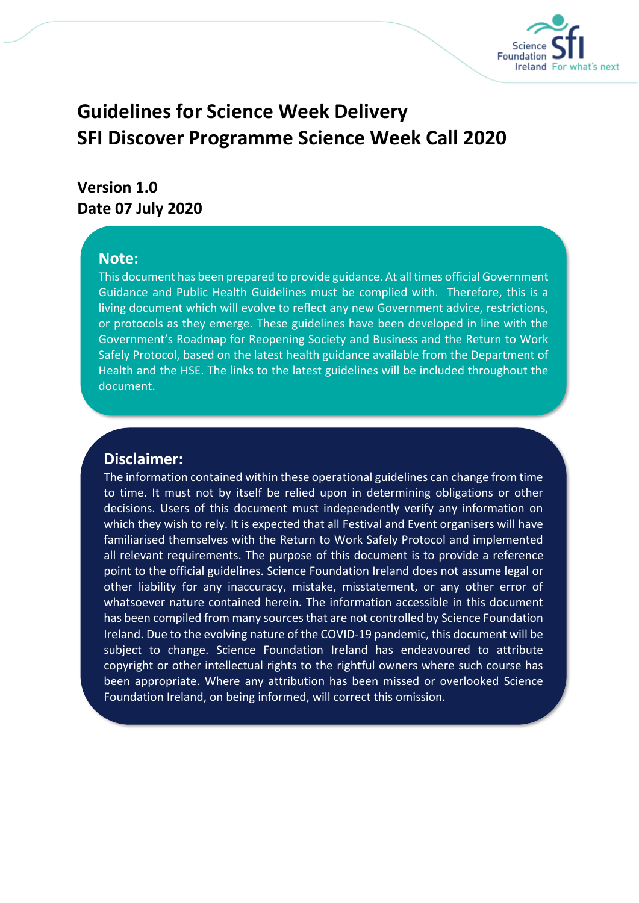

# **Guidelines for Science Week Delivery SFI Discover Programme Science Week Call 2020**

# **Version 1.0 Date 07 July 2020**

#### **Note:**

This document has been prepared to provide guidance. At all times official Government Guidance and Public Health Guidelines must be complied with. Therefore, this is a living document which will evolve to reflect any new Government advice, restrictions, or protocols as they emerge. These guidelines have been developed in line with the Government's Roadmap for Reopening Society and Business and the Return to Work Safely Protocol, based on the latest health guidance available from the Department of Health and the HSE. The links to the latest guidelines will be included throughout the document.

### **Disclaimer:**

The information contained within these operational guidelines can change from time to time. It must not by itself be relied upon in determining obligations or other decisions. Users of this document must independently verify any information on which they wish to rely. It is expected that all Festival and Event organisers will have familiarised themselves with the Return to Work Safely Protocol and implemented all relevant requirements. The purpose of this document is to provide a reference point to the official guidelines. Science Foundation Ireland does not assume legal or other liability for any inaccuracy, mistake, misstatement, or any other error of whatsoever nature contained herein. The information accessible in this document has been compiled from many sources that are not controlled by Science Foundation Ireland. Due to the evolving nature of the COVID-19 pandemic, this document will be subject to change. Science Foundation Ireland has endeavoured to attribute copyright or other intellectual rights to the rightful owners where such course has been appropriate. Where any attribution has been missed or overlooked Science Foundation Ireland, on being informed, will correct this omission.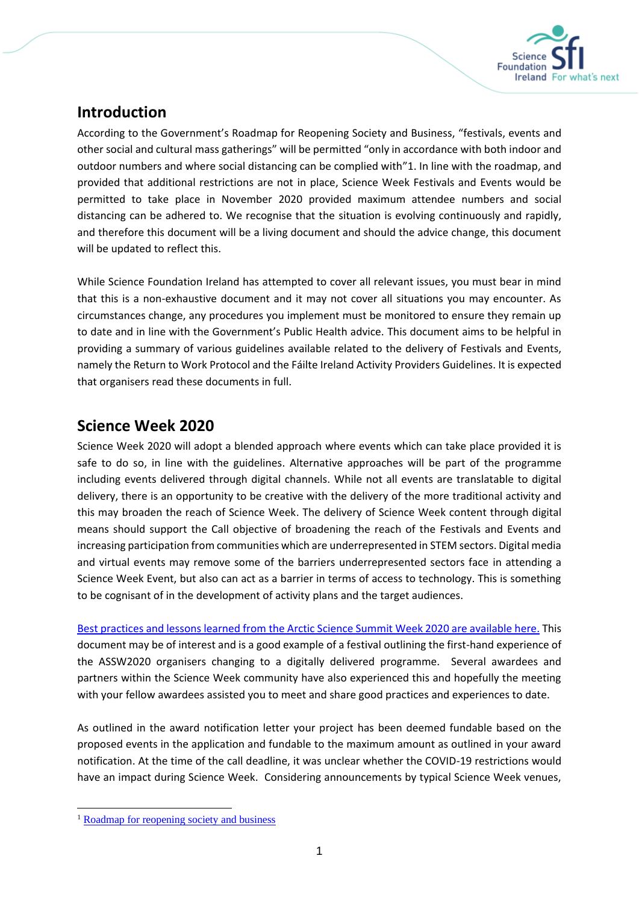

## **Introduction**

According to the Government's Roadmap for Reopening Society and Business, "festivals, events and other social and cultural mass gatherings" will be permitted "only in accordance with both indoor and outdoor numbers and where social distancing can be complied with"1. In line with the roadmap, and provided that additional restrictions are not in place, Science Week Festivals and Events would be permitted to take place in November 2020 provided maximum attendee numbers and social distancing can be adhered to. We recognise that the situation is evolving continuously and rapidly, and therefore this document will be a living document and should the advice change, this document will be updated to reflect this.

While Science Foundation Ireland has attempted to cover all relevant issues, you must bear in mind that this is a non-exhaustive document and it may not cover all situations you may encounter. As circumstances change, any procedures you implement must be monitored to ensure they remain up to date and in line with the Government's Public Health advice. This document aims to be helpful in providing a summary of various guidelines available related to the delivery of Festivals and Events, namely the Return to Work Protocol and the Fáilte Ireland Activity Providers Guidelines. It is expected that organisers read these documents in full.

### **Science Week 2020**

Science Week 2020 will adopt a blended approach where events which can take place provided it is safe to do so, in line with the guidelines. Alternative approaches will be part of the programme including events delivered through digital channels. While not all events are translatable to digital delivery, there is an opportunity to be creative with the delivery of the more traditional activity and this may broaden the reach of Science Week. The delivery of Science Week content through digital means should support the Call objective of broadening the reach of the Festivals and Events and increasing participation from communities which are underrepresented in STEM sectors. Digital media and virtual events may remove some of the barriers underrepresented sectors face in attending a Science Week Event, but also can act as a barrier in terms of access to technology. This is something to be cognisant of in the development of activity plans and the target audiences.

Best practices and lessons learned from the [Arctic Science Summit Week 2020 are available here.](https://documentcloud.adobe.com/link/review?uri=urn:aaid:scds:US:ec464c7c-9947-4777-9e2a-1b7aad6664f4) This document may be of interest and is a good example of a festival outlining the first-hand experience of the ASSW2020 organisers changing to a digitally delivered programme. Several awardees and partners within the Science Week community have also experienced this and hopefully the meeting with your fellow awardees assisted you to meet and share good practices and experiences to date.

As outlined in the award notification letter your project has been deemed fundable based on the proposed events in the application and fundable to the maximum amount as outlined in your award notification. At the time of the call deadline, it was unclear whether the COVID-19 restrictions would have an impact during Science Week. Considering announcements by typical Science Week venues,

<sup>&</sup>lt;sup>1</sup> [Roadmap for reopening society and business](https://www.gov.ie/en/news/58bc8b-taoiseach-announces-roadmap-for-reopening-society-and-business-and-u/?referrer=http://www.gov.ie/roadmap/)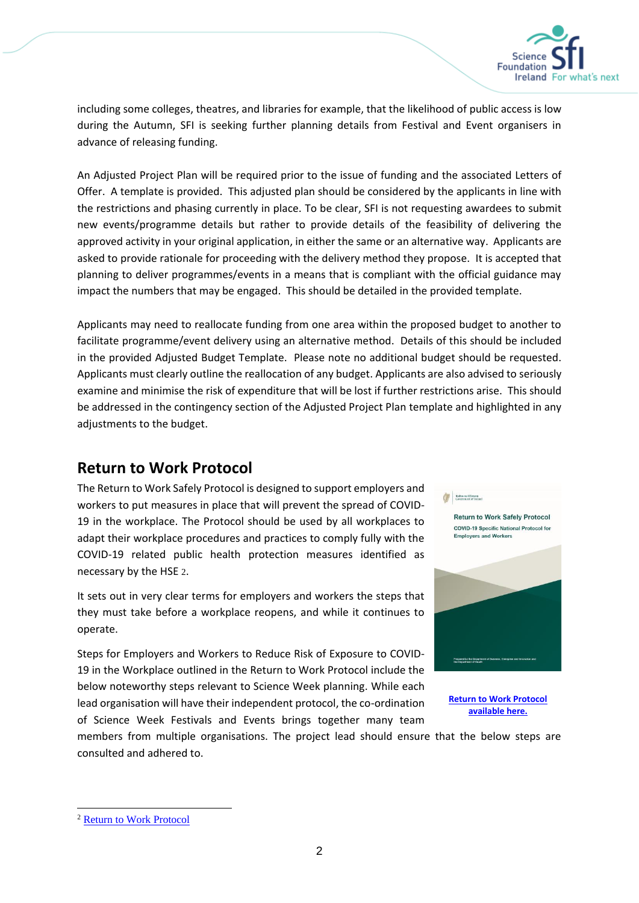

including some colleges, theatres, and libraries for example, that the likelihood of public access is low during the Autumn, SFI is seeking further planning details from Festival and Event organisers in advance of releasing funding.

An Adjusted Project Plan will be required prior to the issue of funding and the associated Letters of Offer. A template is provided. This adjusted plan should be considered by the applicants in line with the restrictions and phasing currently in place. To be clear, SFI is not requesting awardees to submit new events/programme details but rather to provide details of the feasibility of delivering the approved activity in your original application, in either the same or an alternative way. Applicants are asked to provide rationale for proceeding with the delivery method they propose. It is accepted that planning to deliver programmes/events in a means that is compliant with the official guidance may impact the numbers that may be engaged. This should be detailed in the provided template.

Applicants may need to reallocate funding from one area within the proposed budget to another to facilitate programme/event delivery using an alternative method. Details of this should be included in the provided Adjusted Budget Template. Please note no additional budget should be requested. Applicants must clearly outline the reallocation of any budget. Applicants are also advised to seriously examine and minimise the risk of expenditure that will be lost if further restrictions arise. This should be addressed in the contingency section of the Adjusted Project Plan template and highlighted in any adjustments to the budget.

### **Return to Work Protocol**

The Return to Work Safely Protocol is designed to support employers and workers to put measures in place that will prevent the spread of COVID-19 in the workplace. The Protocol should be used by all workplaces to adapt their workplace procedures and practices to comply fully with the COVID-19 related public health protection measures identified as necessary by the HSE 2.

It sets out in very clear terms for employers and workers the steps that they must take before a workplace reopens, and while it continues to operate.

Steps for Employers and Workers to Reduce Risk of Exposure to COVID-19 in the Workplace outlined in the Return to Work Protocol include the below noteworthy steps relevant to Science Week planning. While each lead organisation will have their independent protocol, the co-ordination of Science Week Festivals and Events brings together many team



Rightes no



**[Return to Work Protocol](https://www.gov.ie/en/publication/22829a-return-to-work-safely-protocol/)  [available here.](https://www.gov.ie/en/publication/22829a-return-to-work-safely-protocol/)**

members from multiple organisations. The project lead should ensure that the below steps are consulted and adhered to.

<sup>2</sup> [Return to Work Protocol](https://www.gov.ie/en/publication/22829a-return-to-work-safely-protocol/)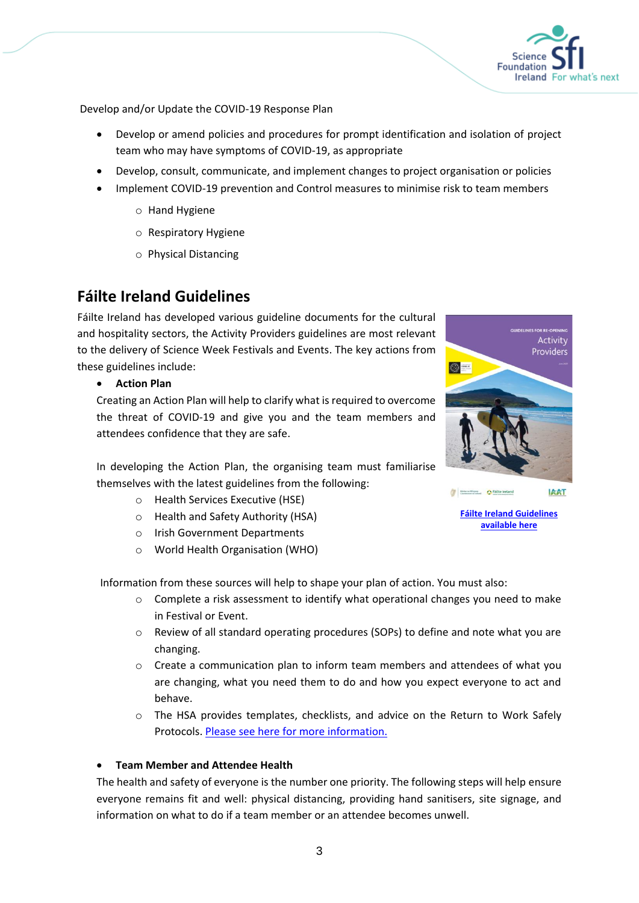

Develop and/or Update the COVID-19 Response Plan

- Develop or amend policies and procedures for prompt identification and isolation of project team who may have symptoms of COVID-19, as appropriate
- Develop, consult, communicate, and implement changes to project organisation or policies
- Implement COVID-19 prevention and Control measures to minimise risk to team members
	- o Hand Hygiene
	- o Respiratory Hygiene
	- o Physical Distancing

### **Fáilte Ireland Guidelines**

Fáilte Ireland has developed various guideline documents for the cultural and hospitality sectors, the Activity Providers guidelines are most relevant to the delivery of Science Week Festivals and Events. The key actions from these guidelines include:

• **Action Plan**

Creating an Action Plan will help to clarify what is required to overcome the threat of COVID-19 and give you and the team members and attendees confidence that they are safe.



In developing the Action Plan, the organising team must familiarise themselves with the latest guidelines from the following:

- o Health Services Executive (HSE)
- o Health and Safety Authority (HSA)
- o Irish Government Departments
- o World Health Organisation (WHO)

Information from these sources will help to shape your plan of action. You must also:

- $\circ$  Complete a risk assessment to identify what operational changes you need to make in Festival or Event.
- o Review of all standard operating procedures (SOPs) to define and note what you are changing.
- $\circ$  Create a communication plan to inform team members and attendees of what you are changing, what you need them to do and how you expect everyone to act and behave.
- o The HSA provides templates, checklists, and advice on the Return to Work Safely Protocols. [Please see here for more information.](https://www.hsa.ie/eng/topics/covid-19/)

#### • **Team Member and Attendee Health**

The health and safety of everyone is the number one priority. The following steps will help ensure everyone remains fit and well: physical distancing, providing hand sanitisers, site signage, and information on what to do if a team member or an attendee becomes unwell.

**[Fáilte Ireland Guidelines](https://failtecdn.azureedge.net/failteireland/Guidelines-for-Re-opening-Activity-Providers.pdf)** 

Eidas sa Minusa Drailte Ireland

**[available here](https://failtecdn.azureedge.net/failteireland/Guidelines-for-Re-opening-Activity-Providers.pdf)**

**IRRT**